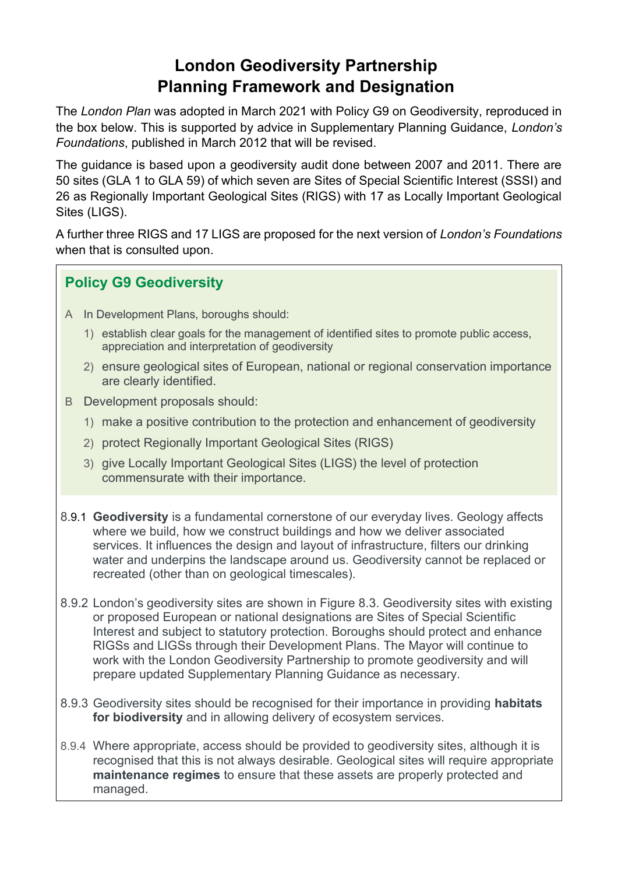## **London Geodiversity Partnership Planning Framework and Designation**

The *London Plan* was adopted in March 2021 with Policy G9 on Geodiversity, reproduced in the box below. This is supported by advice in Supplementary Planning Guidance, *London's Foundations*, published in March 2012 that will be revised.

The guidance is based upon a geodiversity audit done between 2007 and 2011. There are 50 sites (GLA 1 to GLA 59) of which seven are Sites of Special Scientific Interest (SSSI) and 26 as Regionally Important Geological Sites (RIGS) with 17 as Locally Important Geological Sites (LIGS).

A further three RIGS and 17 LIGS are proposed for the next version of *London's Foundations* when that is consulted upon.

## **Policy G9 Geodiversity**

- A In Development Plans, boroughs should:
	- 1) establish clear goals for the management of identified sites to promote public access, appreciation and interpretation of geodiversity
	- 2) ensure geological sites of European, national or regional conservation importance are clearly identified.
- B Development proposals should:
	- 1) make a positive contribution to the protection and enhancement of geodiversity
	- 2) protect Regionally Important Geological Sites (RIGS)
	- 3) give Locally Important Geological Sites (LIGS) the level of protection commensurate with their importance.
- 8.9.1 **Geodiversity** is a fundamental cornerstone of our everyday lives. Geology affects where we build, how we construct buildings and how we deliver associated services. It influences the design and layout of infrastructure, filters our drinking water and underpins the landscape around us. Geodiversity cannot be replaced or recreated (other than on geological timescales).
- 8.9.2 London's geodiversity sites are shown in Figure 8.3. Geodiversity sites with existing or proposed European or national designations are Sites of Special Scientific Interest and subject to statutory protection. Boroughs should protect and enhance RIGSs and LIGSs through their Development Plans. The Mayor will continue to work with the London Geodiversity Partnership to promote geodiversity and will prepare updated Supplementary Planning Guidance as necessary.
- 8.9.3 Geodiversity sites should be recognised for their importance in providing **habitats for biodiversity** and in allowing delivery of ecosystem services.
- 8.9.4 Where appropriate, access should be provided to geodiversity sites, although it is recognised that this is not always desirable. Geological sites will require appropriate **maintenance regimes** to ensure that these assets are properly protected and managed.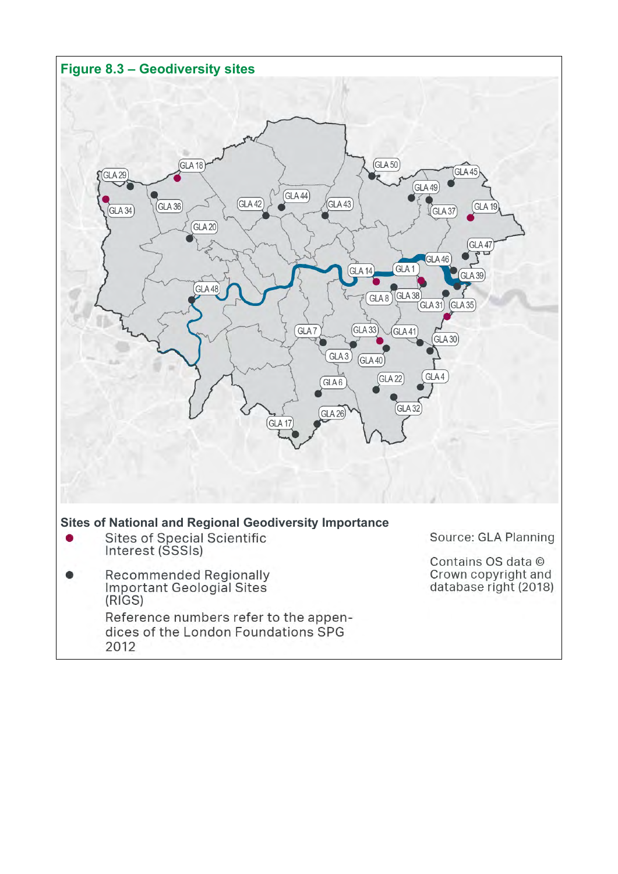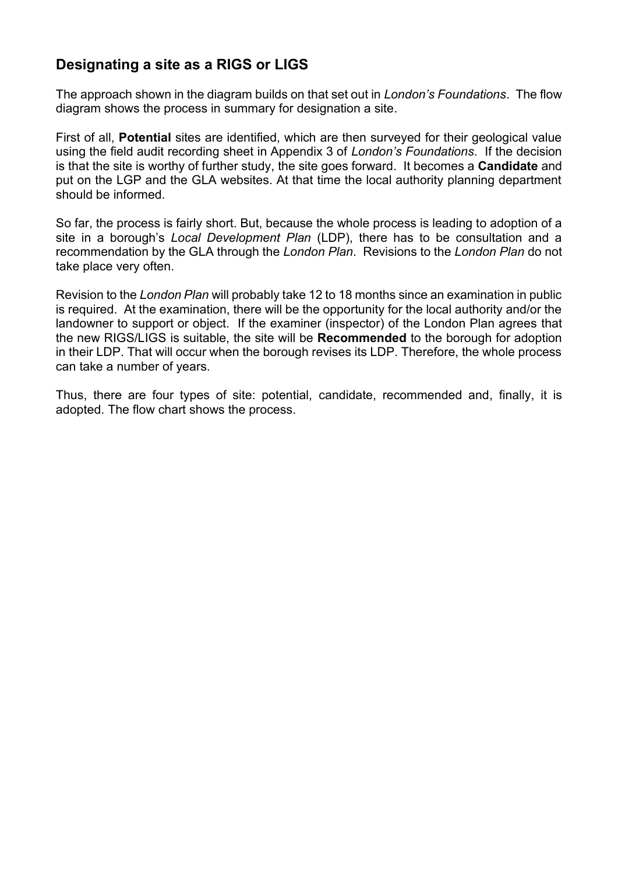## **Designating a site as a RIGS or LIGS**

The approach shown in the diagram builds on that set out in *London's Foundations*. The flow diagram shows the process in summary for designation a site.

First of all, **Potential** sites are identified, which are then surveyed for their geological value using the field audit recording sheet in Appendix 3 of *London's Foundations*. If the decision is that the site is worthy of further study, the site goes forward. It becomes a **Candidate** and put on the LGP and the GLA websites. At that time the local authority planning department should be informed.

So far, the process is fairly short. But, because the whole process is leading to adoption of a site in a borough's *Local Development Plan* (LDP), there has to be consultation and a recommendation by the GLA through the *London Plan*. Revisions to the *London Plan* do not take place very often.

Revision to the *London Plan* will probably take 12 to 18 months since an examination in public is required. At the examination, there will be the opportunity for the local authority and/or the landowner to support or object. If the examiner (inspector) of the London Plan agrees that the new RIGS/LIGS is suitable, the site will be **Recommended** to the borough for adoption in their LDP. That will occur when the borough revises its LDP. Therefore, the whole process can take a number of years.

Thus, there are four types of site: potential, candidate, recommended and, finally, it is adopted. The flow chart shows the process.